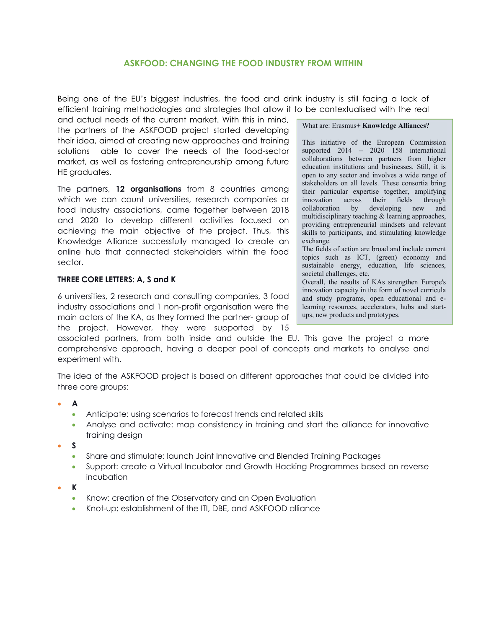# **ASKFOOD: CHANGING THE FOOD INDUSTRY FROM WITHIN**

Being one of the EU's biggest industries, the food and drink industry is still facing a lack of efficient training methodologies and strategies that allow it to be contextualised with the real

and actual needs of the current market. With this in mind, the partners of the ASKFOOD project started developing their idea, aimed at creating new approaches and training solutions able to cover the needs of the food-sector market, as well as fostering entrepreneurship among future HE graduates.

The partners, **12 organisations** from 8 countries among which we can count universities, research companies or food industry associations, came together between 2018 and 2020 to develop different activities focused on achieving the main objective of the project. Thus, this Knowledge Alliance successfully managed to create an online hub that connected stakeholders within the food sector.

### **THREE CORE LETTERS: A, S and K**

6 universities, 2 research and consulting companies, 3 food industry associations and 1 non-profit organisation were the main actors of the KA, as they formed the partner- group of the project. However, they were supported by 15

What are: Erasmus+ **Knowledge Alliances?**

This initiative of the European Commission supported 2014 – 2020 158 international collaborations between partners from higher education institutions and businesses. Still, it is open to any sector and involves a wide range of stakeholders on all levels. These consortia bring their particular expertise together, amplifying innovation across their fields through collaboration by developing new and multidisciplinary teaching & learning approaches, providing entrepreneurial mindsets and relevant skills to participants, and stimulating knowledge exchange.

The fields of action are broad and include current topics such as ICT, (green) economy and sustainable energy, education, life sciences, societal challenges, etc.

Overall, the results of KAs strengthen Europe's innovation capacity in the form of novel curricula and study programs, open educational and elearning resources, accelerators, hubs and startups, new products and prototypes.

associated partners, from both inside and outside the EU. This gave the project a more comprehensive approach, having a deeper pool of concepts and markets to analyse and experiment with.

The idea of the ASKFOOD project is based on different approaches that could be divided into three core groups:

- **A**
	- Anticipate: using scenarios to forecast trends and related skills
	- Analyse and activate: map consistency in training and start the alliance for innovative training design
- **S**
	- Share and stimulate: launch Joint Innovative and Blended Training Packages
	- Support: create a Virtual Incubator and Growth Hacking Programmes based on reverse incubation
- **K**
	- Know: creation of the Observatory and an Open Evaluation
	- Knot-up: establishment of the ITI, DBE, and ASKFOOD alliance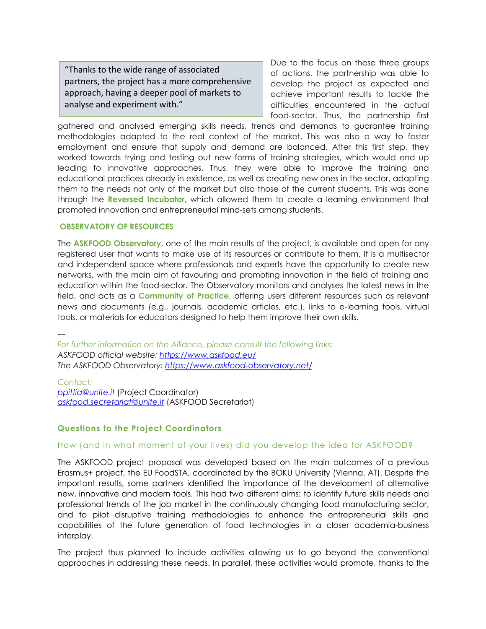"Thanks to the wide range of associated partners, the project has a more comprehensive approach, having a deeper pool of markets to analyse and experiment with."

Due to the focus on these three groups of actions, the partnership was able to develop the project as expected and achieve important results to tackle the difficulties encountered in the actual food-sector. Thus, the partnership first

gathered and analysed emerging skills needs, trends and demands to guarantee training methodologies adapted to the real context of the market. This was also a way to foster employment and ensure that supply and demand are balanced. After this first step, they worked towards trying and testing out new forms of training strategies, which would end up leading to innovative approaches. Thus, they were able to improve the training and educational practices already in existence, as well as creating new ones in the sector, adapting them to the needs not only of the market but also those of the current students. This was done through the **Reversed Incubator**, which allowed them to create a learning environment that promoted innovation and entrepreneurial mind-sets among students.

#### **OBSERVATORY OF RESOURCES**

The **ASKFOOD Observatory**, one of the main results of the project, is available and open for any registered user that wants to make use of its resources or contribute to them. It is a multisector and independent space where professionals and experts have the opportunity to create new networks, with the main aim of favouring and promoting innovation in the field of training and education within the food-sector. The Observatory monitors and analyses the latest news in the field, and acts as a **Community of Practice**, offering users different resources such as relevant news and documents (e.g., journals, academic articles, etc.), links to e-learning tools, virtual tools, or materials for educators designed to help them improve their own skills.

---

*For further information on the Alliance, please consult the following links: ASKFOOD official website: https://www.askfood.eu/ The ASKFOOD Observatory: https://www.askfood-observatory.net/*

*Contact: ppittia@unite.it* (Project Coordinator) *askfood.secretariat@unite.it* (ASKFOOD Secretariat)

# **Questions to the Project Coordinators**

### How (and in what moment of your lives) did you develop the idea for ASKFOOD?

The ASKFOOD project proposal was developed based on the main outcomes of a previous Erasmus+ project, the EU FoodSTA, coordinated by the BOKU University (Vienna, AT). Despite the important results, some partners identified the importance of the development of alternative new, innovative and modern tools. This had two different aims: to identify future skills needs and professional trends of the job market in the continuously changing food manufacturing sector, and to pilot disruptive training methodologies to enhance the entrepreneurial skills and capabilities of the future generation of food technologies in a closer academia-business interplay.

The project thus planned to include activities allowing us to go beyond the conventional approaches in addressing these needs. In parallel, these activities would promote, thanks to the